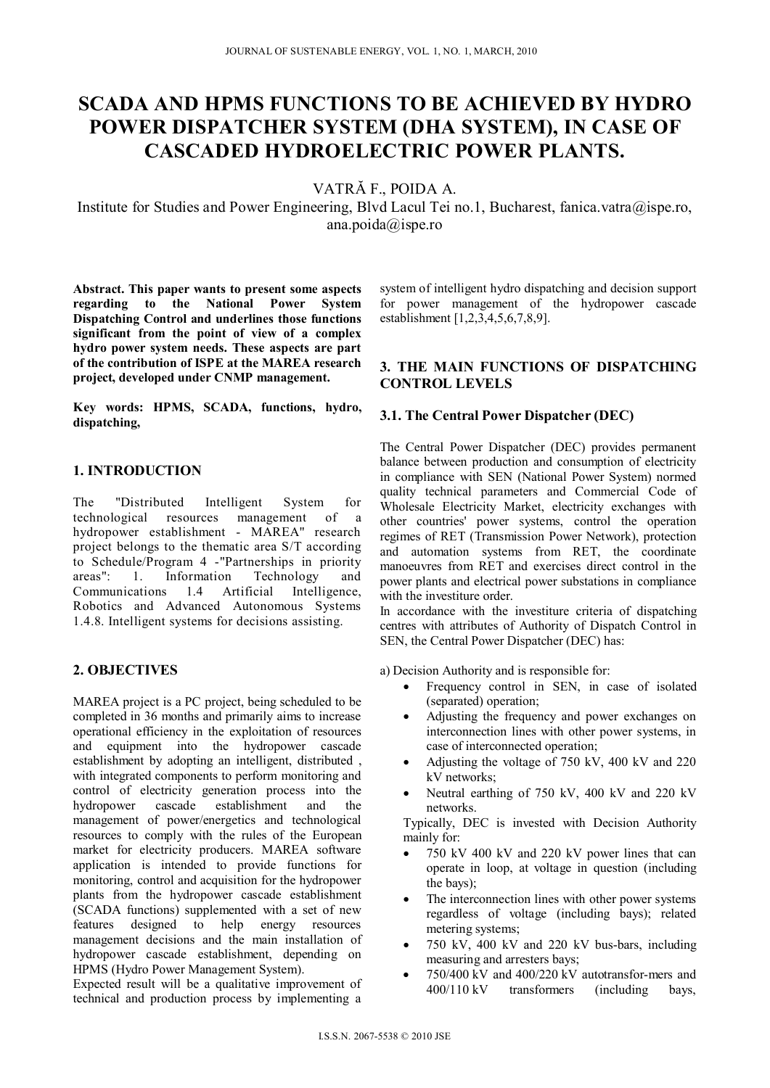# **SCADA AND HPMS FUNCTIONS TO BE ACHIEVED BY HYDRO POWER DISPATCHER SYSTEM (DHA SYSTEM), IN CASE OF CASCADED HYDROELECTRIC POWER PLANTS.**

VATRĂ F., POIDA A.

Institute for Studies and Power Engineering, Blvd Lacul Tei no.1, Bucharest, fanica.vatra@ispe.ro, ana.poida@ispe.ro

**Abstract. This paper wants to present some aspects regarding to the National Power System Dispatching Control and underlines those functions significant from the point of view of a complex hydro power system needs. These aspects are part of the contribution of ISPE at the MAREA research project, developed under CNMP management.** 

**Key words: HPMS, SCADA, functions, hydro, dispatching,** 

## **1. INTRODUCTION**

The "Distributed Intelligent System for technological resources management of a hydropower establishment - MAREA" research project belongs to the thematic area S/T according to Schedule/Program 4 -"Partnerships in priority areas": 1. Information Technology and Communications 1.4 Artificial Intelligence, Robotics and Advanced Autonomous Systems 1.4.8. Intelligent systems for decisions assisting.

## **2. OBJECTIVES**

MAREA project is a PC project, being scheduled to be completed in 36 months and primarily aims to increase operational efficiency in the exploitation of resources and equipment into the hydropower cascade establishment by adopting an intelligent, distributed , with integrated components to perform monitoring and control of electricity generation process into the hydropower cascade establishment and the management of power/energetics and technological resources to comply with the rules of the European market for electricity producers. MAREA software application is intended to provide functions for monitoring, control and acquisition for the hydropower plants from the hydropower cascade establishment (SCADA functions) supplemented with a set of new features designed to help energy resources management decisions and the main installation of hydropower cascade establishment, depending on HPMS (Hydro Power Management System).

Expected result will be a qualitative improvement of technical and production process by implementing a system of intelligent hydro dispatching and decision support for power management of the hydropower cascade establishment [1,2,3,4,5,6,7,8,9].

## **3. THE MAIN FUNCTIONS OF DISPATCHING CONTROL LEVELS**

## **3.1. The Central Power Dispatcher (DEC)**

The Central Power Dispatcher (DEC) provides permanent balance between production and consumption of electricity in compliance with SEN (National Power System) normed quality technical parameters and Commercial Code of Wholesale Electricity Market, electricity exchanges with other countries' power systems, control the operation regimes of RET (Transmission Power Network), protection and automation systems from RET, the coordinate manoeuvres from RET and exercises direct control in the power plants and electrical power substations in compliance with the investiture order.

In accordance with the investiture criteria of dispatching centres with attributes of Authority of Dispatch Control in SEN, the Central Power Dispatcher (DEC) has:

a) Decision Authority and is responsible for:

- Frequency control in SEN, in case of isolated (separated) operation;
- Adjusting the frequency and power exchanges on interconnection lines with other power systems, in case of interconnected operation;
- Adjusting the voltage of 750 kV, 400 kV and 220 kV networks;
- Neutral earthing of 750 kV, 400 kV and 220 kV networks.

Typically, DEC is invested with Decision Authority mainly for:

- 750 kV 400 kV and 220 kV power lines that can operate in loop, at voltage in question (including the bays);
- The interconnection lines with other power systems regardless of voltage (including bays); related metering systems;
- 750 kV, 400 kV and 220 kV bus-bars, including measuring and arresters bays;
- 750/400 kV and 400/220 kV autotransfor-mers and 400/110 kV transformers (including bays,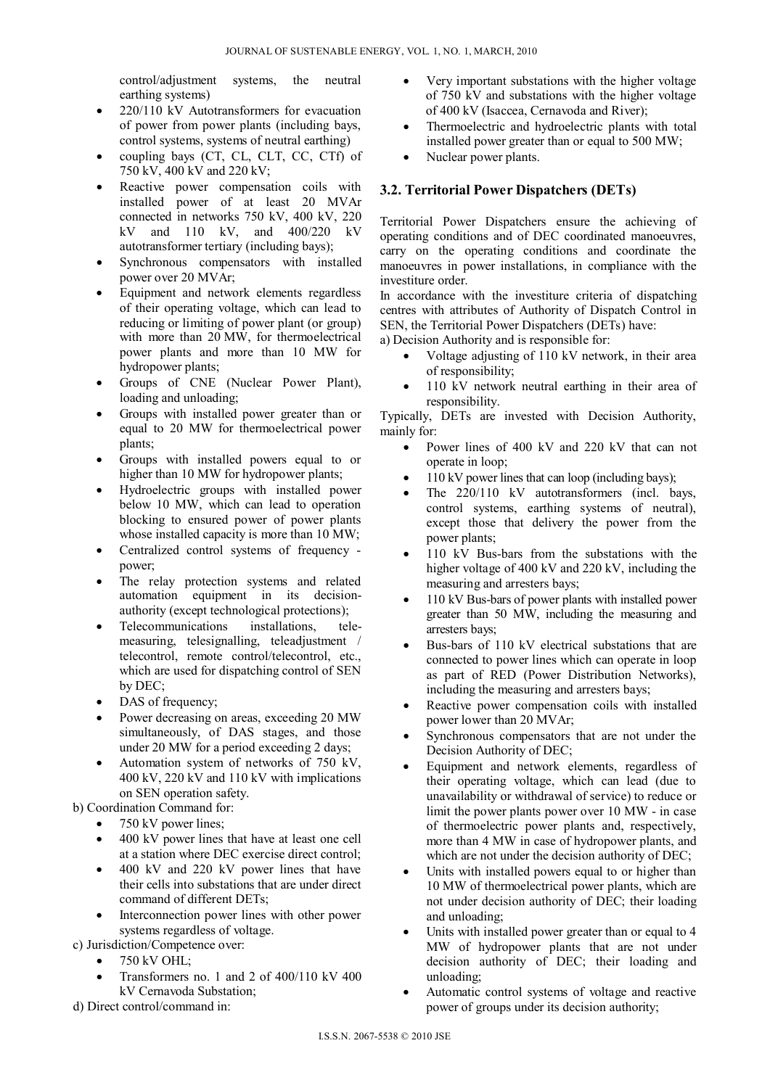control/adjustment systems, the neutral earthing systems)

- 220/110 kV Autotransformers for evacuation of power from power plants (including bays, control systems, systems of neutral earthing)
- coupling bays (CT, CL, CLT, CC, CTf) of 750 kV, 400 kV and 220 kV;
- Reactive power compensation coils with installed power of at least 20 MVAr connected in networks 750 kV, 400 kV, 220 kV and 110 kV, and 400/220 kV autotransformer tertiary (including bays);
- Synchronous compensators with installed power over 20 MVAr;
- Equipment and network elements regardless of their operating voltage, which can lead to reducing or limiting of power plant (or group) with more than 20 MW, for thermoelectrical power plants and more than 10 MW for hydropower plants;
- Groups of CNE (Nuclear Power Plant), loading and unloading;
- Groups with installed power greater than or equal to 20 MW for thermoelectrical power plants;
- Groups with installed powers equal to or higher than 10 MW for hydropower plants;
- Hydroelectric groups with installed power below 10 MW, which can lead to operation blocking to ensured power of power plants whose installed capacity is more than 10 MW;
- Centralized control systems of frequency power;
- The relay protection systems and related automation equipment in its decisionauthority (except technological protections);
- Telecommunications installations, telemeasuring, telesignalling, teleadjustment / telecontrol, remote control/telecontrol, etc., which are used for dispatching control of SEN by DEC;
- DAS of frequency;
- Power decreasing on areas, exceeding 20 MW simultaneously, of DAS stages, and those under 20 MW for a period exceeding 2 days;
- Automation system of networks of 750 kV, 400 kV, 220 kV and 110 kV with implications on SEN operation safety.

b) Coordination Command for:

- 750 kV power lines;
- 400 kV power lines that have at least one cell at a station where DEC exercise direct control;
- 400 kV and 220 kV power lines that have their cells into substations that are under direct command of different DETs;
- Interconnection power lines with other power systems regardless of voltage.

c) Jurisdiction/Competence over:

- 750 kV OHL;
- Transformers no. 1 and 2 of 400/110 kV 400 kV Cernavoda Substation;
- d) Direct control/command in:
- Very important substations with the higher voltage of 750 kV and substations with the higher voltage of 400 kV (Isaccea, Cernavoda and River);
- Thermoelectric and hydroelectric plants with total installed power greater than or equal to 500 MW;
- Nuclear power plants.

## **3.2. Territorial Power Dispatchers (DETs)**

Territorial Power Dispatchers ensure the achieving of operating conditions and of DEC coordinated manoeuvres, carry on the operating conditions and coordinate the manoeuvres in power installations, in compliance with the investiture order

In accordance with the investiture criteria of dispatching centres with attributes of Authority of Dispatch Control in SEN, the Territorial Power Dispatchers (DETs) have:

a) Decision Authority and is responsible for:

- Voltage adjusting of 110 kV network, in their area of responsibility;
- 110 kV network neutral earthing in their area of responsibility.

Typically, DETs are invested with Decision Authority, mainly for:

- Power lines of 400 kV and 220 kV that can not operate in loop;
- 110 kV power lines that can loop (including bays);
- The 220/110 kV autotransformers (incl. bays, control systems, earthing systems of neutral), except those that delivery the power from the power plants;
- 110 kV Bus-bars from the substations with the higher voltage of 400 kV and 220 kV, including the measuring and arresters bays;
- 110 kV Bus-bars of power plants with installed power greater than 50 MW, including the measuring and arresters bays;
- Bus-bars of 110 kV electrical substations that are connected to power lines which can operate in loop as part of RED (Power Distribution Networks), including the measuring and arresters bays;
- Reactive power compensation coils with installed power lower than 20 MVAr;
- Synchronous compensators that are not under the Decision Authority of DEC;
- Equipment and network elements, regardless of their operating voltage, which can lead (due to unavailability or withdrawal of service) to reduce or limit the power plants power over 10 MW - in case of thermoelectric power plants and, respectively, more than 4 MW in case of hydropower plants, and which are not under the decision authority of DEC;
- Units with installed powers equal to or higher than 10 MW of thermoelectrical power plants, which are not under decision authority of DEC; their loading and unloading;
- Units with installed power greater than or equal to 4 MW of hydropower plants that are not under decision authority of DEC; their loading and unloading;
- Automatic control systems of voltage and reactive power of groups under its decision authority;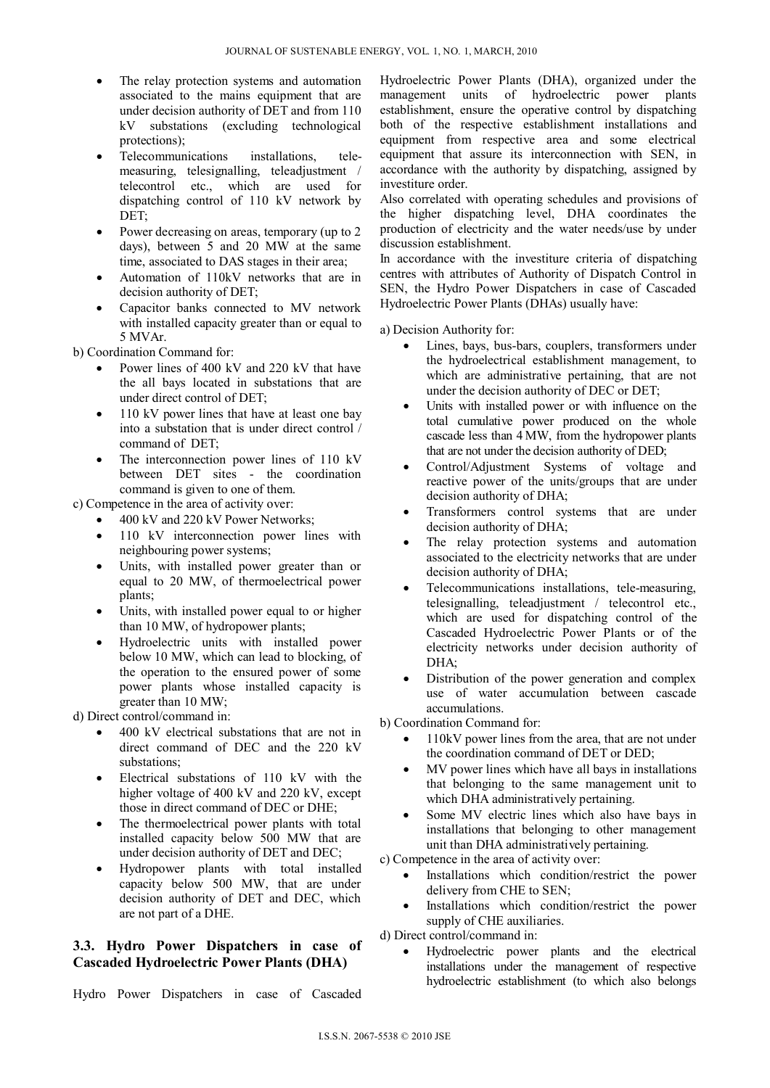- The relay protection systems and automation associated to the mains equipment that are under decision authority of DET and from 110 kV substations (excluding technological protections);
- Telecommunications installations, telemeasuring, telesignalling, teleadjustment / telecontrol etc., which are used for dispatching control of 110 kV network by DET;
- Power decreasing on areas, temporary (up to 2 days), between 5 and 20 MW at the same time, associated to DAS stages in their area;
- Automation of 110kV networks that are in decision authority of DET;
- Capacitor banks connected to MV network with installed capacity greater than or equal to 5 MVAr.

b) Coordination Command for:

- Power lines of 400 kV and 220 kV that have the all bays located in substations that are under direct control of DET;
- 110 kV power lines that have at least one bay into a substation that is under direct control / command of DET;
- The interconnection power lines of 110 kV between DET sites - the coordination command is given to one of them.

c) Competence in the area of activity over:

- 400 kV and 220 kV Power Networks;
- 110 kV interconnection power lines with neighbouring power systems;
- Units, with installed power greater than or equal to 20 MW, of thermoelectrical power plants;
- Units, with installed power equal to or higher than 10 MW, of hydropower plants;
- Hydroelectric units with installed power below 10 MW, which can lead to blocking, of the operation to the ensured power of some power plants whose installed capacity is greater than 10 MW;

d) Direct control/command in:

- 400 kV electrical substations that are not in direct command of DEC and the 220 kV substations;
- Electrical substations of 110 kV with the higher voltage of 400 kV and 220 kV, except those in direct command of DEC or DHE;
- The thermoelectrical power plants with total installed capacity below 500 MW that are under decision authority of DET and DEC;
- Hydropower plants with total installed capacity below 500 MW, that are under decision authority of DET and DEC, which are not part of a DHE.

## **3.3. Hydro Power Dispatchers in case of Cascaded Hydroelectric Power Plants (DHA)**

Hydro Power Dispatchers in case of Cascaded

Hydroelectric Power Plants (DHA), organized under the management units of hydroelectric power plants establishment, ensure the operative control by dispatching both of the respective establishment installations and equipment from respective area and some electrical equipment that assure its interconnection with SEN, in accordance with the authority by dispatching, assigned by investiture order.

Also correlated with operating schedules and provisions of the higher dispatching level, DHA coordinates the production of electricity and the water needs/use by under discussion establishment.

In accordance with the investiture criteria of dispatching centres with attributes of Authority of Dispatch Control in SEN, the Hydro Power Dispatchers in case of Cascaded Hydroelectric Power Plants (DHAs) usually have:

a) Decision Authority for:

- Lines, bays, bus-bars, couplers, transformers under the hydroelectrical establishment management, to which are administrative pertaining, that are not under the decision authority of DEC or DET;
- Units with installed power or with influence on the total cumulative power produced on the whole cascade less than 4 MW, from the hydropower plants that are not under the decision authority of DED;
- Control/Adjustment Systems of voltage and reactive power of the units/groups that are under decision authority of DHA;
- Transformers control systems that are under decision authority of DHA;
- The relay protection systems and automation associated to the electricity networks that are under decision authority of DHA;
- Telecommunications installations, tele-measuring, telesignalling, teleadjustment / telecontrol etc., which are used for dispatching control of the Cascaded Hydroelectric Power Plants or of the electricity networks under decision authority of DHA;
- Distribution of the power generation and complex use of water accumulation between cascade accumulations.

b) Coordination Command for:

- 110kV power lines from the area, that are not under the coordination command of DET or DED;
- MV power lines which have all bays in installations that belonging to the same management unit to which DHA administratively pertaining.
- Some MV electric lines which also have bays in installations that belonging to other management unit than DHA administratively pertaining.

c) Competence in the area of activity over:

- Installations which condition/restrict the power delivery from CHE to SEN;
- Installations which condition/restrict the power supply of CHE auxiliaries.

d) Direct control/command in:

 Hydroelectric power plants and the electrical installations under the management of respective hydroelectric establishment (to which also belongs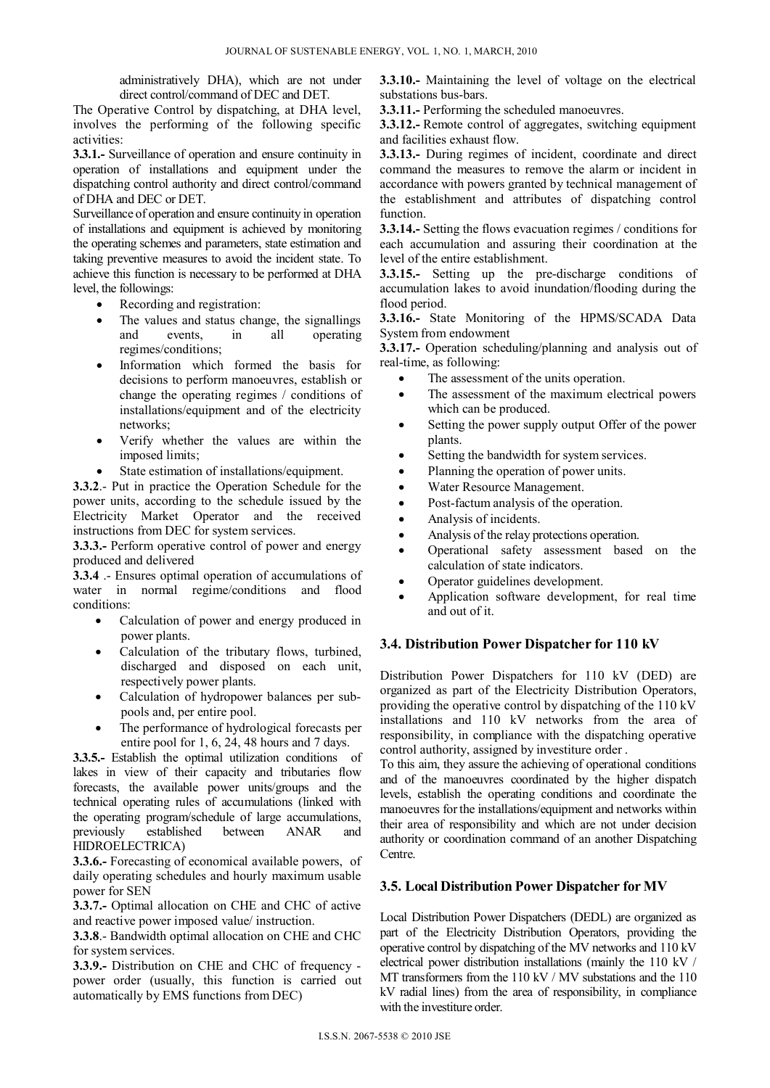administratively DHA), which are not under direct control/command of DEC and DET.

The Operative Control by dispatching, at DHA level, involves the performing of the following specific activities:

**3.3.1.-** Surveillance of operation and ensure continuity in operation of installations and equipment under the dispatching control authority and direct control/command of DHA and DEC or DET.

Surveillance of operation and ensure continuity in operation of installations and equipment is achieved by monitoring the operating schemes and parameters, state estimation and taking preventive measures to avoid the incident state. To achieve this function is necessary to be performed at DHA level, the followings:

- Recording and registration:
- The values and status change, the signallings and events, in all operating regimes/conditions;
- Information which formed the basis for decisions to perform manoeuvres, establish or change the operating regimes / conditions of installations/equipment and of the electricity networks;
- Verify whether the values are within the imposed limits;
- State estimation of installations/equipment.

**3.3.2**.- Put in practice the Operation Schedule for the power units, according to the schedule issued by the Electricity Market Operator and the received instructions from DEC for system services.

**3.3.3.-** Perform operative control of power and energy produced and delivered

**3.3.4** .- Ensures optimal operation of accumulations of water in normal regime/conditions and flood conditions:

- Calculation of power and energy produced in power plants.
- Calculation of the tributary flows, turbined, discharged and disposed on each unit, respectively power plants.
- Calculation of hydropower balances per subpools and, per entire pool.
- The performance of hydrological forecasts per entire pool for 1, 6, 24, 48 hours and 7 days.

**3.3.5.-** Establish the optimal utilization conditions of lakes in view of their capacity and tributaries flow forecasts, the available power units/groups and the technical operating rules of accumulations (linked with the operating program/schedule of large accumulations,<br>
previously established between ANAR and previously established between ANAR and HIDROELECTRICA)

**3.3.6.-** Forecasting of economical available powers, of daily operating schedules and hourly maximum usable power for SEN

**3.3.7.-** Optimal allocation on CHE and CHC of active and reactive power imposed value/ instruction.

**3.3.8**.- Bandwidth optimal allocation on CHE and CHC for system services.

**3.3.9.-** Distribution on CHE and CHC of frequency power order (usually, this function is carried out automatically by EMS functions from DEC)

**3.3.10.-** Maintaining the level of voltage on the electrical substations bus-bars.

**3.3.11.-** Performing the scheduled manoeuvres.

**3.3.12.-** Remote control of aggregates, switching equipment and facilities exhaust flow.

**3.3.13.-** During regimes of incident, coordinate and direct command the measures to remove the alarm or incident in accordance with powers granted by technical management of the establishment and attributes of dispatching control function.

**3.3.14.-** Setting the flows evacuation regimes / conditions for each accumulation and assuring their coordination at the level of the entire establishment.

**3.3.15.-** Setting up the pre-discharge conditions of accumulation lakes to avoid inundation/flooding during the flood period.

**3.3.16.-** State Monitoring of the HPMS/SCADA Data System from endowment

**3.3.17.-** Operation scheduling/planning and analysis out of real-time, as following:

- The assessment of the units operation.
- The assessment of the maximum electrical powers which can be produced.
- Setting the power supply output Offer of the power plants.
- Setting the bandwidth for system services.
- Planning the operation of power units.
- Water Resource Management.
- Post-factum analysis of the operation.
- Analysis of incidents.
- Analysis of the relay protections operation.
- Operational safety assessment based on the calculation of state indicators.
- Operator guidelines development.
- Application software development, for real time and out of it.

#### **3.4. Distribution Power Dispatcher for 110 kV**

Distribution Power Dispatchers for 110 kV (DED) are organized as part of the Electricity Distribution Operators, providing the operative control by dispatching of the 110 kV installations and 110 kV networks from the area of responsibility, in compliance with the dispatching operative control authority, assigned by investiture order .

To this aim, they assure the achieving of operational conditions and of the manoeuvres coordinated by the higher dispatch levels, establish the operating conditions and coordinate the manoeuvres for the installations/equipment and networks within their area of responsibility and which are not under decision authority or coordination command of an another Dispatching Centre.

#### **3.5. Local Distribution Power Dispatcher for MV**

Local Distribution Power Dispatchers (DEDL) are organized as part of the Electricity Distribution Operators, providing the operative control by dispatching of the MV networks and 110 kV electrical power distribution installations (mainly the 110 kV / MT transformers from the 110 kV / MV substations and the 110 kV radial lines) from the area of responsibility, in compliance with the investiture order.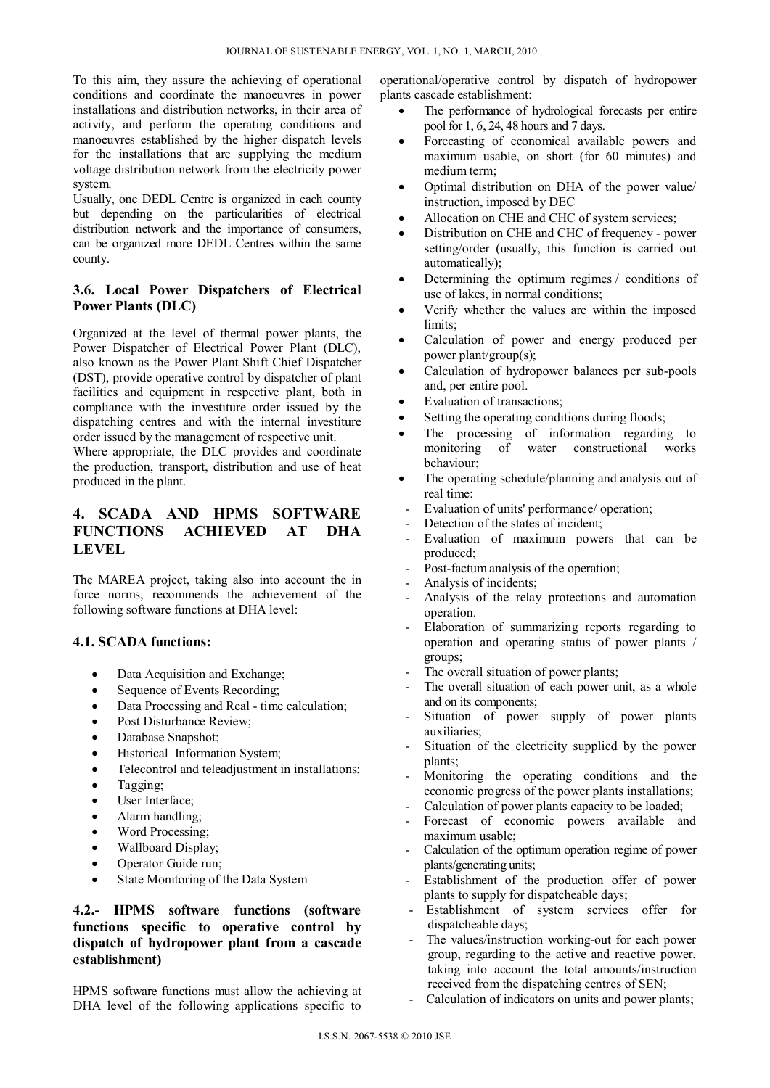To this aim, they assure the achieving of operational conditions and coordinate the manoeuvres in power installations and distribution networks, in their area of activity, and perform the operating conditions and manoeuvres established by the higher dispatch levels for the installations that are supplying the medium voltage distribution network from the electricity power system.

Usually, one DEDL Centre is organized in each county but depending on the particularities of electrical distribution network and the importance of consumers, can be organized more DEDL Centres within the same county.

## **3.6. Local Power Dispatchers of Electrical Power Plants (DLC)**

Organized at the level of thermal power plants, the Power Dispatcher of Electrical Power Plant (DLC), also known as the Power Plant Shift Chief Dispatcher (DST), provide operative control by dispatcher of plant facilities and equipment in respective plant, both in compliance with the investiture order issued by the dispatching centres and with the internal investiture order issued by the management of respective unit.

Where appropriate, the DLC provides and coordinate the production, transport, distribution and use of heat produced in the plant.

# **4. SCADA AND HPMS SOFTWARE FUNCTIONS ACHIEVED AT DHA LEVEL**

The MAREA project, taking also into account the in force norms, recommends the achievement of the following software functions at DHA level:

#### **4.1. SCADA functions:**

- Data Acquisition and Exchange;
- Sequence of Events Recording;
- Data Processing and Real time calculation;
- Post Disturbance Review;
- Database Snapshot;
- Historical Information System;
- Telecontrol and teleadjustment in installations;
- Tagging;
- User Interface;
- Alarm handling;
- Word Processing;
- Wallboard Display;
- Operator Guide run;
- State Monitoring of the Data System

## **4.2.- HPMS software functions (software functions specific to operative control by dispatch of hydropower plant from a cascade establishment)**

HPMS software functions must allow the achieving at DHA level of the following applications specific to

operational/operative control by dispatch of hydropower plants cascade establishment:

- The performance of hydrological forecasts per entire pool for 1, 6, 24, 48 hours and 7 days.
- Forecasting of economical available powers and maximum usable, on short (for 60 minutes) and medium term;
- Optimal distribution on DHA of the power value/ instruction, imposed by DEC
- Allocation on CHE and CHC of system services;
- Distribution on CHE and CHC of frequency power setting/order (usually, this function is carried out automatically);
- Determining the optimum regimes / conditions of use of lakes, in normal conditions;
- Verify whether the values are within the imposed limits:
- Calculation of power and energy produced per power plant/group(s);
- Calculation of hydropower balances per sub-pools and, per entire pool.
- Evaluation of transactions;
- Setting the operating conditions during floods;
- The processing of information regarding to monitoring of water constructional works behaviour;
- The operating schedule/planning and analysis out of real time:
- Evaluation of units' performance/ operation;
- Detection of the states of incident;
- Evaluation of maximum powers that can be produced;
- Post-factum analysis of the operation;
- Analysis of incidents;
- Analysis of the relay protections and automation operation.
- Elaboration of summarizing reports regarding to operation and operating status of power plants / groups;
- The overall situation of power plants;
- The overall situation of each power unit, as a whole and on its components;
- Situation of power supply of power plants auxiliaries;
- Situation of the electricity supplied by the power plants;
- Monitoring the operating conditions and the economic progress of the power plants installations;
- Calculation of power plants capacity to be loaded;
- Forecast of economic powers available and maximum usable;
- Calculation of the optimum operation regime of power plants/generating units;
- Establishment of the production offer of power plants to supply for dispatcheable days;
- Establishment of system services offer for dispatcheable days;
- The values/instruction working-out for each power group, regarding to the active and reactive power, taking into account the total amounts/instruction received from the dispatching centres of SEN;
- Calculation of indicators on units and power plants;